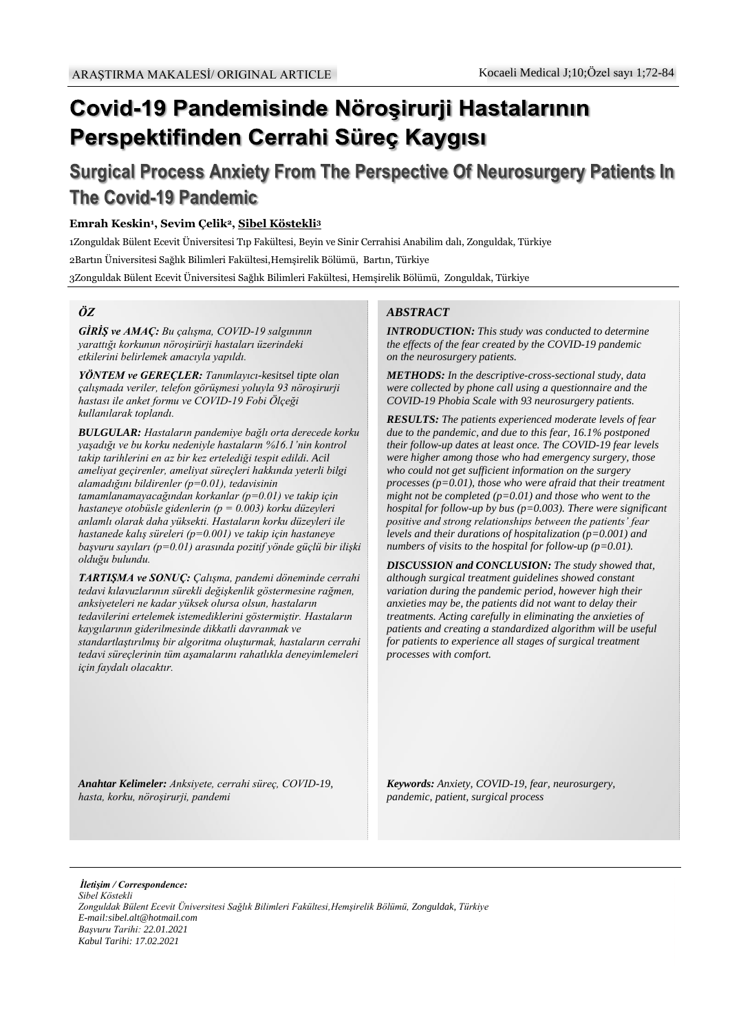# Covid-19 Pandemisinde Nöroşirurji Hastalarının Perspektifinden Cerrahi Süreç Kaygısı

# **Surgical Process Anxiety From The Perspective Of Neurosurgery Patients In The Covid-19 Pandemic**

#### **Emrah Keskin<sup>1</sup> , Sevim Çelik<sup>2</sup>, Sibel Köstekli<sup>3</sup>**

1Zonguldak Bülent Ecevit Üniversitesi Tıp Fakültesi, Beyin ve Sinir Cerrahisi Anabilim dalı, Zonguldak, Türkiye 2Bartın Üniversitesi Sağlık Bilimleri Fakültesi,Hemşirelik Bölümü, Bartın, Türkiye

3Zonguldak Bülent Ecevit Üniversitesi Sağlık Bilimleri Fakültesi, Hemşirelik Bölümü, Zonguldak, Türkiye

## *ÖZ*

*GİRİŞ ve AMAÇ: Bu çalışma, COVID-19 salgınının yarattığı korkunun nöroşirürji hastaları üzerindeki etkilerini belirlemek amacıyla yapıldı.*

*YÖNTEM ve GEREÇLER: Tanımlayıcı-kesitsel tipte olan çalışmada veriler, telefon görüşmesi yoluyla 93 nöroşirurji hastası ile anket formu ve COVID-19 Fobi Ölçeği kullanılarak toplandı.*

*BULGULAR: Hastaların pandemiye bağlı orta derecede korku yaşadığı ve bu korku nedeniyle hastaların %16.1'nin kontrol takip tarihlerini en az bir kez ertelediği tespit edildi. Acil ameliyat geçirenler, ameliyat süreçleri hakkında yeterli bilgi alamadığını bildirenler (p=0.01), tedavisinin tamamlanamayacağından korkanlar (p=0.01) ve takip için hastaneye otobüsle gidenlerin (p = 0.003) korku düzeyleri anlamlı olarak daha yüksekti. Hastaların korku düzeyleri ile hastanede kalış süreleri (p=0.001) ve takip için hastaneye başvuru sayıları (p=0.01) arasında pozitif yönde güçlü bir ilişki olduğu bulundu.*

*TARTIŞMA ve SONUÇ: Çalışma, pandemi döneminde cerrahi tedavi kılavuzlarının sürekli değişkenlik göstermesine rağmen, anksiyeteleri ne kadar yüksek olursa olsun, hastaların tedavilerini ertelemek istemediklerini göstermiştir. Hastaların kaygılarının giderilmesinde dikkatli davranmak ve standartlaştırılmış bir algoritma oluşturmak, hastaların cerrahi tedavi süreçlerinin tüm aşamalarını rahatlıkla deneyimlemeleri için faydalı olacaktır.*

#### *ABSTRACT*

*INTRODUCTION: This study was conducted to determine the effects of the fear created by the COVID-19 pandemic on the neurosurgery patients.*

*METHODS: In the descriptive-cross-sectional study, data were collected by phone call using a questionnaire and the COVID-19 Phobia Scale with 93 neurosurgery patients.*

*RESULTS: The patients experienced moderate levels of fear due to the pandemic, and due to this fear, 16.1% postponed their follow-up dates at least once. The COVID-19 fear levels were higher among those who had emergency surgery, those who could not get sufficient information on the surgery processes (p=0.01), those who were afraid that their treatment might not be completed (p=0.01) and those who went to the hospital for follow-up by bus (p=0.003). There were significant positive and strong relationships between the patients' fear levels and their durations of hospitalization (p=0.001) and numbers of visits to the hospital for follow-up (p=0.01).*

*DISCUSSION and CONCLUSION: The study showed that, although surgical treatment guidelines showed constant variation during the pandemic period, however high their anxieties may be, the patients did not want to delay their treatments. Acting carefully in eliminating the anxieties of patients and creating a standardized algorithm will be useful for patients to experience all stages of surgical treatment processes with comfort.*

*Anahtar Kelimeler: Anksiyete, cerrahi süreç, COVID-19, hasta, korku, nöroşirurji, pandemi*

*Keywords: Anxiety, COVID-19, fear, neurosurgery, pandemic, patient, surgical process*

 *İletişim / Correspondence: Sibel Köstekli Zonguldak Bülent Ecevit Üniversitesi Sağlık Bilimleri Fakültesi,Hemşirelik Bölümü, Zonguldak, Türkiye E-mail:sibel.alt@hotmail.com Başvuru Tarihi: 22.01.2021 Kabul Tarihi: 17.02.2021*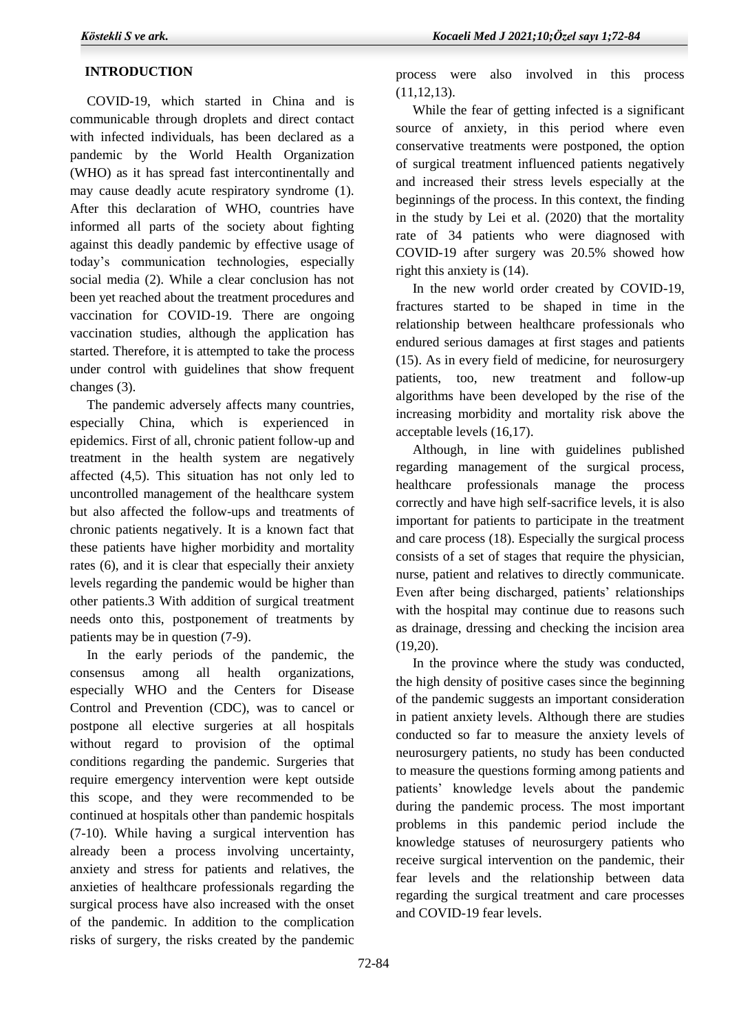# **INTRODUCTION**

 COVID-19, which started in China and is communicable through droplets and direct contact with infected individuals, has been declared as a pandemic by the World Health Organization (WHO) as it has spread fast intercontinentally and may cause deadly acute respiratory syndrome (1). After this declaration of WHO, countries have informed all parts of the society about fighting against this deadly pandemic by effective usage of today's communication technologies, especially social media (2). While a clear conclusion has not been yet reached about the treatment procedures and vaccination for COVID-19. There are ongoing vaccination studies, although the application has started. Therefore, it is attempted to take the process under control with guidelines that show frequent changes (3).

 The pandemic adversely affects many countries, especially China, which is experienced in epidemics. First of all, chronic patient follow-up and treatment in the health system are negatively affected (4,5). This situation has not only led to uncontrolled management of the healthcare system but also affected the follow-ups and treatments of chronic patients negatively. It is a known fact that these patients have higher morbidity and mortality rates (6), and it is clear that especially their anxiety levels regarding the pandemic would be higher than other patients.3 With addition of surgical treatment needs onto this, postponement of treatments by patients may be in question (7-9).

 In the early periods of the pandemic, the consensus among all health organizations, especially WHO and the Centers for Disease Control and Prevention (CDC), was to cancel or postpone all elective surgeries at all hospitals without regard to provision of the optimal conditions regarding the pandemic. Surgeries that require emergency intervention were kept outside this scope, and they were recommended to be continued at hospitals other than pandemic hospitals (7-10). While having a surgical intervention has already been a process involving uncertainty, anxiety and stress for patients and relatives, the anxieties of healthcare professionals regarding the surgical process have also increased with the onset of the pandemic. In addition to the complication risks of surgery, the risks created by the pandemic

process were also involved in this process (11,12,13).

 While the fear of getting infected is a significant source of anxiety, in this period where even conservative treatments were postponed, the option of surgical treatment influenced patients negatively and increased their stress levels especially at the beginnings of the process. In this context, the finding in the study by Lei et al. (2020) that the mortality rate of 34 patients who were diagnosed with COVID-19 after surgery was 20.5% showed how right this anxiety is (14).

 In the new world order created by COVID-19, fractures started to be shaped in time in the relationship between healthcare professionals who endured serious damages at first stages and patients (15). As in every field of medicine, for neurosurgery patients, too, new treatment and follow-up algorithms have been developed by the rise of the increasing morbidity and mortality risk above the acceptable levels (16,17).

 Although, in line with guidelines published regarding management of the surgical process, healthcare professionals manage the process correctly and have high self-sacrifice levels, it is also important for patients to participate in the treatment and care process (18). Especially the surgical process consists of a set of stages that require the physician, nurse, patient and relatives to directly communicate. Even after being discharged, patients' relationships with the hospital may continue due to reasons such as drainage, dressing and checking the incision area (19,20).

 In the province where the study was conducted, the high density of positive cases since the beginning of the pandemic suggests an important consideration in patient anxiety levels. Although there are studies conducted so far to measure the anxiety levels of neurosurgery patients, no study has been conducted to measure the questions forming among patients and patients' knowledge levels about the pandemic during the pandemic process. The most important problems in this pandemic period include the knowledge statuses of neurosurgery patients who receive surgical intervention on the pandemic, their fear levels and the relationship between data regarding the surgical treatment and care processes and COVID-19 fear levels.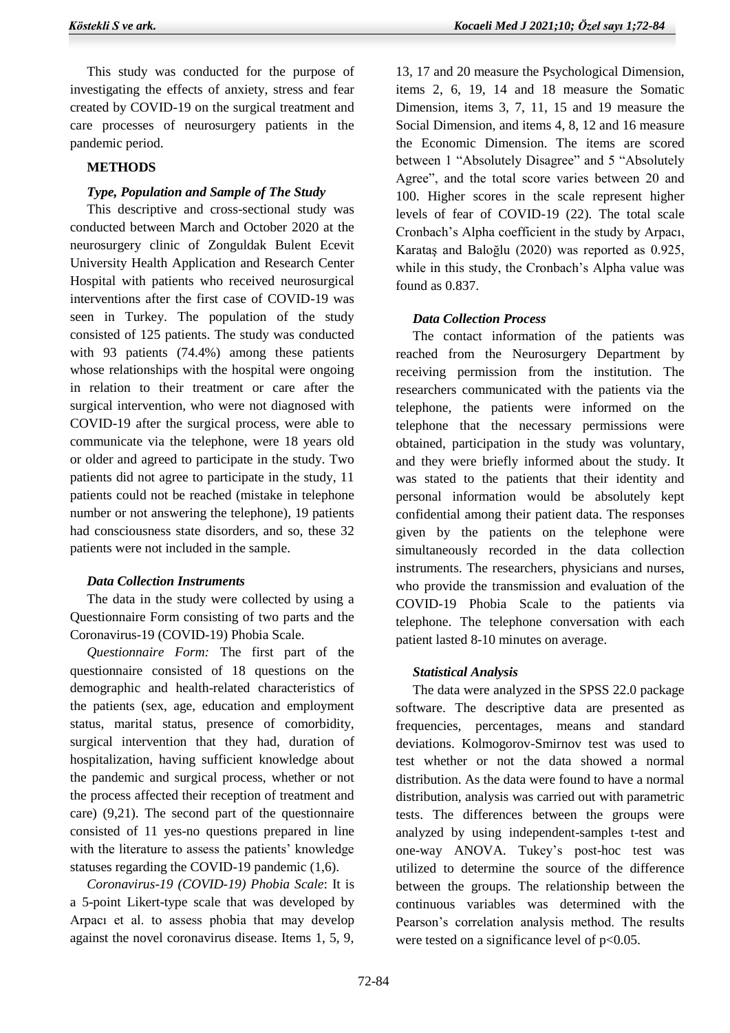This study was conducted for the purpose of investigating the effects of anxiety, stress and fear created by COVID-19 on the surgical treatment and care processes of neurosurgery patients in the pandemic period.

## **METHODS**

# *Type, Population and Sample of The Study*

 This descriptive and cross-sectional study was conducted between March and October 2020 at the neurosurgery clinic of Zonguldak Bulent Ecevit University Health Application and Research Center Hospital with patients who received neurosurgical interventions after the first case of COVID-19 was seen in Turkey. The population of the study consisted of 125 patients. The study was conducted with 93 patients (74.4%) among these patients whose relationships with the hospital were ongoing in relation to their treatment or care after the surgical intervention, who were not diagnosed with COVID-19 after the surgical process, were able to communicate via the telephone, were 18 years old or older and agreed to participate in the study. Two patients did not agree to participate in the study, 11 patients could not be reached (mistake in telephone number or not answering the telephone), 19 patients had consciousness state disorders, and so, these 32 patients were not included in the sample.

# *Data Collection Instruments*

 The data in the study were collected by using a Questionnaire Form consisting of two parts and the Coronavirus-19 (COVID-19) Phobia Scale.

 *Questionnaire Form:* The first part of the questionnaire consisted of 18 questions on the demographic and health-related characteristics of the patients (sex, age, education and employment status, marital status, presence of comorbidity, surgical intervention that they had, duration of hospitalization, having sufficient knowledge about the pandemic and surgical process, whether or not the process affected their reception of treatment and care) (9,21). The second part of the questionnaire consisted of 11 yes-no questions prepared in line with the literature to assess the patients' knowledge statuses regarding the COVID-19 pandemic (1,6).

 *Coronavirus-19 (COVID-19) Phobia Scale*: It is a 5-point Likert-type scale that was developed by Arpacı et al. to assess phobia that may develop against the novel coronavirus disease. Items 1, 5, 9,

13, 17 and 20 measure the Psychological Dimension, items 2, 6, 19, 14 and 18 measure the Somatic Dimension, items 3, 7, 11, 15 and 19 measure the Social Dimension, and items 4, 8, 12 and 16 measure the Economic Dimension. The items are scored between 1 "Absolutely Disagree" and 5 "Absolutely Agree", and the total score varies between 20 and 100. Higher scores in the scale represent higher levels of fear of COVID-19 (22). The total scale Cronbach's Alpha coefficient in the study by Arpacı, Karataş and Baloğlu (2020) was reported as 0.925, while in this study, the Cronbach's Alpha value was found as 0.837.

# *Data Collection Process*

 The contact information of the patients was reached from the Neurosurgery Department by receiving permission from the institution. The researchers communicated with the patients via the telephone, the patients were informed on the telephone that the necessary permissions were obtained, participation in the study was voluntary, and they were briefly informed about the study. It was stated to the patients that their identity and personal information would be absolutely kept confidential among their patient data. The responses given by the patients on the telephone were simultaneously recorded in the data collection instruments. The researchers, physicians and nurses, who provide the transmission and evaluation of the COVID-19 Phobia Scale to the patients via telephone. The telephone conversation with each patient lasted 8-10 minutes on average.

# *Statistical Analysis*

 The data were analyzed in the SPSS 22.0 package software. The descriptive data are presented as frequencies, percentages, means and standard deviations. Kolmogorov-Smirnov test was used to test whether or not the data showed a normal distribution. As the data were found to have a normal distribution, analysis was carried out with parametric tests. The differences between the groups were analyzed by using independent-samples t-test and one-way ANOVA. Tukey's post-hoc test was utilized to determine the source of the difference between the groups. The relationship between the continuous variables was determined with the Pearson's correlation analysis method. The results were tested on a significance level of  $p<0.05$ .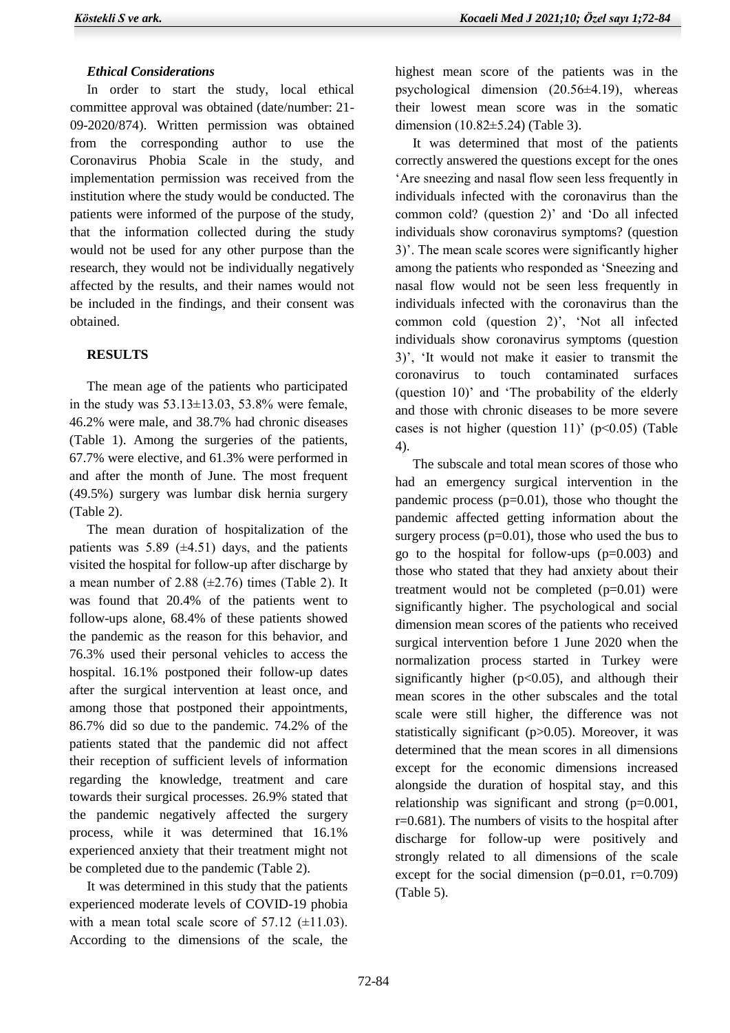## *Ethical Considerations*

 In order to start the study, local ethical committee approval was obtained (date/number: 21- 09-2020/874). Written permission was obtained from the corresponding author to use the Coronavirus Phobia Scale in the study, and implementation permission was received from the institution where the study would be conducted. The patients were informed of the purpose of the study, that the information collected during the study would not be used for any other purpose than the research, they would not be individually negatively affected by the results, and their names would not be included in the findings, and their consent was obtained.

# **RESULTS**

 The mean age of the patients who participated in the study was  $53.13 \pm 13.03$ ,  $53.8\%$  were female, 46.2% were male, and 38.7% had chronic diseases (Table 1). Among the surgeries of the patients, 67.7% were elective, and 61.3% were performed in and after the month of June. The most frequent (49.5%) surgery was lumbar disk hernia surgery (Table 2).

 The mean duration of hospitalization of the patients was  $5.89 \ (\pm 4.51)$  days, and the patients visited the hospital for follow-up after discharge by a mean number of 2.88  $(\pm 2.76)$  times (Table 2). It was found that 20.4% of the patients went to follow-ups alone, 68.4% of these patients showed the pandemic as the reason for this behavior, and 76.3% used their personal vehicles to access the hospital. 16.1% postponed their follow-up dates after the surgical intervention at least once, and among those that postponed their appointments, 86.7% did so due to the pandemic. 74.2% of the patients stated that the pandemic did not affect their reception of sufficient levels of information regarding the knowledge, treatment and care towards their surgical processes. 26.9% stated that the pandemic negatively affected the surgery process, while it was determined that 16.1% experienced anxiety that their treatment might not be completed due to the pandemic (Table 2).

 It was determined in this study that the patients experienced moderate levels of COVID-19 phobia with a mean total scale score of  $57.12$  ( $\pm$ 11.03). According to the dimensions of the scale, the

highest mean score of the patients was in the psychological dimension (20.56±4.19), whereas their lowest mean score was in the somatic dimension (10.82±5.24) (Table 3).

 It was determined that most of the patients correctly answered the questions except for the ones 'Are sneezing and nasal flow seen less frequently in individuals infected with the coronavirus than the common cold? (question 2)' and 'Do all infected individuals show coronavirus symptoms? (question 3)'. The mean scale scores were significantly higher among the patients who responded as 'Sneezing and nasal flow would not be seen less frequently in individuals infected with the coronavirus than the common cold (question 2)', 'Not all infected individuals show coronavirus symptoms (question 3)', 'It would not make it easier to transmit the coronavirus to touch contaminated surfaces (question 10)' and 'The probability of the elderly and those with chronic diseases to be more severe cases is not higher (question 11)' ( $p<0.05$ ) (Table 4).

 The subscale and total mean scores of those who had an emergency surgical intervention in the pandemic process  $(p=0.01)$ , those who thought the pandemic affected getting information about the surgery process  $(p=0.01)$ , those who used the bus to go to the hospital for follow-ups (p=0.003) and those who stated that they had anxiety about their treatment would not be completed  $(p=0.01)$  were significantly higher. The psychological and social dimension mean scores of the patients who received surgical intervention before 1 June 2020 when the normalization process started in Turkey were significantly higher  $(p<0.05)$ , and although their mean scores in the other subscales and the total scale were still higher, the difference was not statistically significant (p>0.05). Moreover, it was determined that the mean scores in all dimensions except for the economic dimensions increased alongside the duration of hospital stay, and this relationship was significant and strong (p=0.001, r=0.681). The numbers of visits to the hospital after discharge for follow-up were positively and strongly related to all dimensions of the scale except for the social dimension  $(p=0.01, r=0.709)$ (Table 5).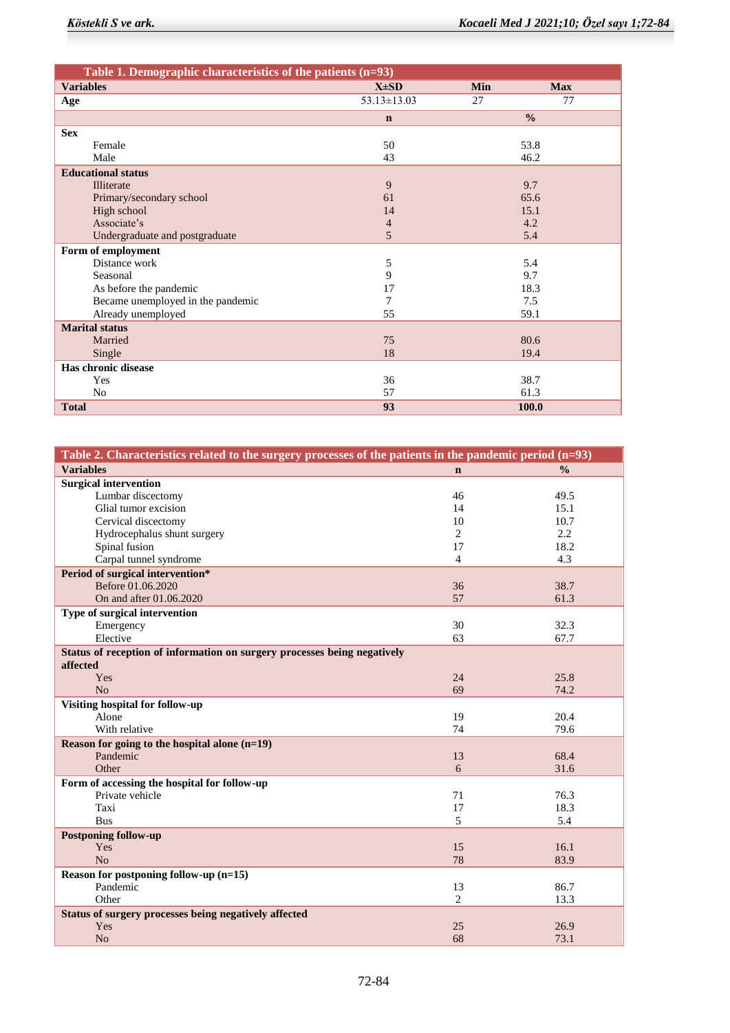| Table 1. Demographic characteristics of the patients $(n=93)$ |                   |            |               |  |
|---------------------------------------------------------------|-------------------|------------|---------------|--|
| <b>Variables</b>                                              | $X\pm SD$         | <b>Min</b> | <b>Max</b>    |  |
| Age                                                           | $53.13 \pm 13.03$ | 27         | 77            |  |
|                                                               | $\mathbf n$       |            | $\frac{0}{0}$ |  |
| <b>Sex</b>                                                    |                   |            |               |  |
| Female                                                        | 50                |            | 53.8          |  |
| Male                                                          | 43                |            | 46.2          |  |
| <b>Educational status</b>                                     |                   |            |               |  |
| Illiterate                                                    | 9                 |            | 9.7           |  |
| Primary/secondary school                                      | 61                |            | 65.6          |  |
| High school                                                   | 14                |            | 15.1          |  |
| Associate's                                                   | 4                 |            | 4.2           |  |
| Undergraduate and postgraduate                                | 5                 |            | 5.4           |  |
| Form of employment                                            |                   |            |               |  |
| Distance work                                                 | 5                 |            | 5.4           |  |
| Seasonal                                                      | 9                 |            | 9.7           |  |
| As before the pandemic                                        | 17                |            | 18.3          |  |
| Became unemployed in the pandemic                             | 7                 |            | 7.5           |  |
| Already unemployed                                            | 55                |            | 59.1          |  |
| <b>Marital status</b>                                         |                   |            |               |  |
| Married                                                       | 75                |            | 80.6          |  |
| Single                                                        | 18                |            | 19.4          |  |
| Has chronic disease                                           |                   |            |               |  |
| Yes                                                           | 36                |            | 38.7          |  |
| N <sub>o</sub>                                                | 57                |            | 61.3          |  |
| <b>Total</b>                                                  | 93                |            | 100.0         |  |

| Table 2. Characteristics related to the surgery processes of the patients in the pandemic period (n=93) |                |               |
|---------------------------------------------------------------------------------------------------------|----------------|---------------|
| <b>Variables</b>                                                                                        | $\mathbf n$    | $\frac{0}{0}$ |
| <b>Surgical intervention</b>                                                                            |                |               |
| Lumbar discectomy                                                                                       | 46             | 49.5          |
| Glial tumor excision                                                                                    | 14             | 15.1          |
| Cervical discectomy                                                                                     | 10             | 10.7          |
| Hydrocephalus shunt surgery                                                                             | $\overline{2}$ | 2.2           |
| Spinal fusion                                                                                           | 17             | 18.2          |
| Carpal tunnel syndrome                                                                                  | $\overline{4}$ | 4.3           |
| Period of surgical intervention*                                                                        |                |               |
| Before 01.06.2020                                                                                       | 36             | 38.7          |
| On and after 01.06.2020                                                                                 | 57             | 61.3          |
| Type of surgical intervention                                                                           |                |               |
| Emergency                                                                                               | 30             | 32.3          |
| Elective                                                                                                | 63             | 67.7          |
| Status of reception of information on surgery processes being negatively                                |                |               |
| affected                                                                                                |                |               |
| Yes                                                                                                     | 24             | 25.8          |
| N <sub>o</sub>                                                                                          | 69             | 74.2          |
| <b>Visiting hospital for follow-up</b>                                                                  |                |               |
| Alone                                                                                                   | 19             | 20.4          |
| With relative                                                                                           | 74             | 79.6          |
| Reason for going to the hospital alone $(n=19)$                                                         |                |               |
| Pandemic                                                                                                | 13             | 68.4          |
| Other                                                                                                   | 6              | 31.6          |
| Form of accessing the hospital for follow-up                                                            |                |               |
| Private vehicle                                                                                         | 71             | 76.3          |
| Taxi                                                                                                    | 17             | 18.3          |
| <b>Bus</b>                                                                                              | 5              | 5.4           |
| <b>Postponing follow-up</b>                                                                             |                |               |
| Yes                                                                                                     | 15             | 16.1          |
| No                                                                                                      | 78             | 83.9          |
| Reason for postponing follow-up $(n=15)$                                                                |                |               |
| Pandemic                                                                                                | 13             | 86.7          |
| Other                                                                                                   | $\overline{2}$ | 13.3          |
| Status of surgery processes being negatively affected                                                   |                |               |
| Yes                                                                                                     | 25             | 26.9          |
| N <sub>o</sub>                                                                                          | 68             | 73.1          |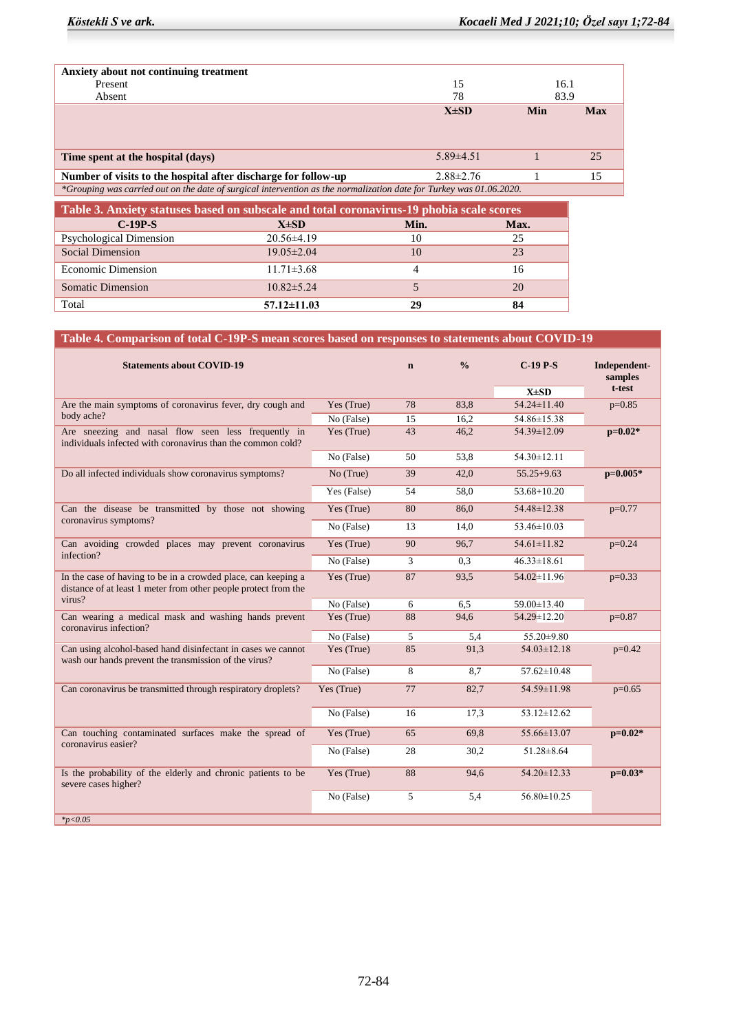| Anxiety about not continuing treatment                                                                              |                 |      |            |
|---------------------------------------------------------------------------------------------------------------------|-----------------|------|------------|
| Present                                                                                                             | 15              | 16.1 |            |
| Absent                                                                                                              | 78              | 83.9 |            |
|                                                                                                                     | $X\pm SD$       | Min  | <b>Max</b> |
|                                                                                                                     |                 |      |            |
|                                                                                                                     |                 |      |            |
| Time spent at the hospital (days)                                                                                   | $5.89\pm4.51$   |      | 25         |
| Number of visits to the hospital after discharge for follow-up                                                      | $2.88 \pm 2.76$ |      | 15         |
| *Grouping was carried out on the date of surgical intervention as the normalization date for Turkey was 01.06.2020. |                 |      |            |
|                                                                                                                     |                 |      |            |

| Table 3. Anxiety statuses based on subscale and total coronavirus-19 phobia scale scores |                   |      |      |  |
|------------------------------------------------------------------------------------------|-------------------|------|------|--|
| $C-19P-S$                                                                                | $X\pm SD$         | Min. | Max. |  |
| <b>Psychological Dimension</b>                                                           | $20.56\pm4.19$    | 10   | 25   |  |
| <b>Social Dimension</b>                                                                  | $19.05 \pm 2.04$  | 10   | 23   |  |
| <b>Economic Dimension</b>                                                                | $11.71 \pm 3.68$  |      | 16   |  |
| <b>Somatic Dimension</b>                                                                 | $10.82 \pm 5.24$  |      | 20   |  |
| Total                                                                                    | $57.12 \pm 11.03$ | 29   | 84   |  |

# **Table 4. Comparison of total C-19P-S mean scores based on responses to statements about COVID-19**

| $X\pm SD$<br>$54.24 \pm 11.40$<br>Are the main symptoms of coronavirus fever, dry cough and<br>Yes (True)<br>78<br>83,8<br>body ache?<br>54.86±15.38<br>15<br>No (False)<br>16,2<br>Are sneezing and nasal flow seen less frequently in<br>54.39±12.09<br>43<br>46,2<br>Yes (True)<br>individuals infected with coronavirus than the common cold?<br>$54.30 \pm 12.11$<br>No (False)<br>50<br>53,8<br>$55.25 + 9.63$<br>Do all infected individuals show coronavirus symptoms?<br>No (True)<br>39<br>42,0 | t-test<br>$p=0.85$<br>$p=0.02*$<br>$p=0.005*$ |
|-----------------------------------------------------------------------------------------------------------------------------------------------------------------------------------------------------------------------------------------------------------------------------------------------------------------------------------------------------------------------------------------------------------------------------------------------------------------------------------------------------------|-----------------------------------------------|
|                                                                                                                                                                                                                                                                                                                                                                                                                                                                                                           |                                               |
|                                                                                                                                                                                                                                                                                                                                                                                                                                                                                                           |                                               |
|                                                                                                                                                                                                                                                                                                                                                                                                                                                                                                           |                                               |
|                                                                                                                                                                                                                                                                                                                                                                                                                                                                                                           |                                               |
|                                                                                                                                                                                                                                                                                                                                                                                                                                                                                                           |                                               |
|                                                                                                                                                                                                                                                                                                                                                                                                                                                                                                           |                                               |
| Yes (False)<br>$53.68 + 10.20$<br>54<br>58,0                                                                                                                                                                                                                                                                                                                                                                                                                                                              |                                               |
| Can the disease be transmitted by those not showing<br>80<br>54.48±12.38<br>Yes (True)<br>86,0                                                                                                                                                                                                                                                                                                                                                                                                            | $p=0.77$                                      |
| coronavirus symptoms?<br>No (False)<br>$53.46 \pm 10.03$<br>13<br>14,0                                                                                                                                                                                                                                                                                                                                                                                                                                    |                                               |
| Can avoiding crowded places may prevent coronavirus<br>$54.61 \pm 11.82$<br>Yes (True)<br>90<br>96,7                                                                                                                                                                                                                                                                                                                                                                                                      | $p=0.24$                                      |
| infection?<br>$46.33 \pm 18.61$<br>No (False)<br>3<br>0.3                                                                                                                                                                                                                                                                                                                                                                                                                                                 |                                               |
| Yes (True)<br>87<br>$54.02 \pm 11.96$<br>In the case of having to be in a crowded place, can keeping a<br>93,5<br>distance of at least 1 meter from other people protect from the                                                                                                                                                                                                                                                                                                                         | $p=0.33$                                      |
| virus?<br>No (False)<br>$59.00 \pm 13.40$<br>6<br>6,5                                                                                                                                                                                                                                                                                                                                                                                                                                                     |                                               |
| Can wearing a medical mask and washing hands prevent<br>88<br>94,6<br>54.29±12.20<br>Yes (True)<br>coronavirus infection?                                                                                                                                                                                                                                                                                                                                                                                 | $p=0.87$                                      |
| No (False)<br>5<br>55.20±9.80<br>5,4                                                                                                                                                                                                                                                                                                                                                                                                                                                                      |                                               |
| Can using alcohol-based hand disinfectant in cases we cannot<br>85<br>91,3<br>$54.03 \pm 12.18$<br>Yes (True)<br>wash our hands prevent the transmission of the virus?                                                                                                                                                                                                                                                                                                                                    | $p=0.42$                                      |
| 8<br>$57.62 \pm 10.48$<br>No (False)<br>8,7                                                                                                                                                                                                                                                                                                                                                                                                                                                               |                                               |
| Can coronavirus be transmitted through respiratory droplets?<br>Yes (True)<br>77<br>82,7<br>54.59±11.98                                                                                                                                                                                                                                                                                                                                                                                                   | $p=0.65$                                      |
| No (False)<br>$53.12 \pm 12.62$<br>16<br>17,3                                                                                                                                                                                                                                                                                                                                                                                                                                                             |                                               |
| 55.66±13.07<br>Can touching contaminated surfaces make the spread of<br>Yes (True)<br>65<br>69.8<br>coronavirus easier?                                                                                                                                                                                                                                                                                                                                                                                   | $p=0.02*$                                     |
| $51.28 \pm 8.64$<br>No (False)<br>28<br>30,2                                                                                                                                                                                                                                                                                                                                                                                                                                                              |                                               |
| Is the probability of the elderly and chronic patients to be<br>$54.20 \pm 12.33$<br>Yes (True)<br>88<br>94,6<br>severe cases higher?                                                                                                                                                                                                                                                                                                                                                                     | $p=0.03*$                                     |
| No (False)<br>5<br>$56.80 \pm 10.25$<br>5,4                                                                                                                                                                                                                                                                                                                                                                                                                                                               |                                               |
| $*_{p<0.05}$                                                                                                                                                                                                                                                                                                                                                                                                                                                                                              |                                               |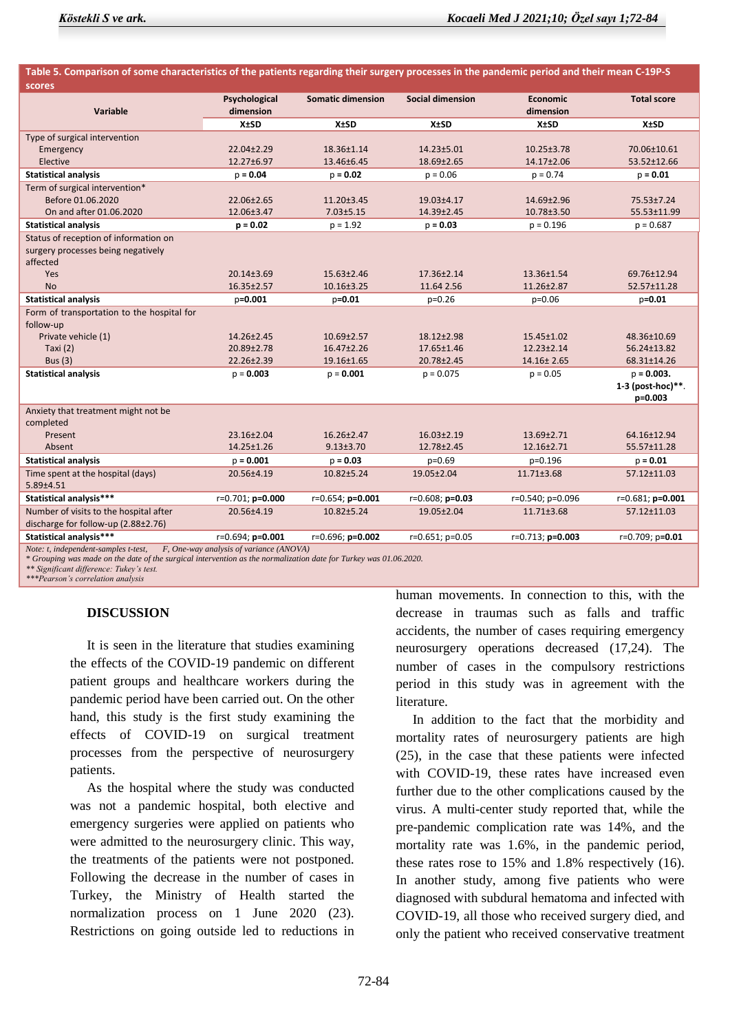| Table 5. Comparison of some characteristics of the patients regarding their surgery processes in the pandemic period and their mean C-19P-S |                                         |                          |                         |                    |                     |
|---------------------------------------------------------------------------------------------------------------------------------------------|-----------------------------------------|--------------------------|-------------------------|--------------------|---------------------|
| scores                                                                                                                                      |                                         |                          |                         |                    |                     |
|                                                                                                                                             | Psychological                           | <b>Somatic dimension</b> | <b>Social dimension</b> | <b>Economic</b>    | <b>Total score</b>  |
| Variable                                                                                                                                    | dimension                               |                          |                         | dimension          |                     |
|                                                                                                                                             | <b>X±SD</b>                             | <b>X±SD</b>              | <b>X±SD</b>             | <b>X±SD</b>        | <b>X±SD</b>         |
| Type of surgical intervention                                                                                                               |                                         |                          |                         |                    |                     |
| Emergency                                                                                                                                   | 22.04±2.29                              | 18.36±1.14               | 14.23±5.01              | $10.25 \pm 3.78$   | 70.06±10.61         |
| Elective                                                                                                                                    | 12.27±6.97                              | 13.46±6.45               | 18.69±2.65              | 14.17±2.06         | 53.52±12.66         |
| <b>Statistical analysis</b>                                                                                                                 | $p = 0.04$                              | $p = 0.02$               | $p = 0.06$              | $p = 0.74$         | $p = 0.01$          |
| Term of surgical intervention*                                                                                                              |                                         |                          |                         |                    |                     |
| Before 01.06.2020                                                                                                                           | 22.06±2.65                              | $11.20 \pm 3.45$         | 19.03±4.17              | 14.69±2.96         | 75.53±7.24          |
| On and after 01.06.2020                                                                                                                     | 12.06±3.47                              | $7.03 \pm 5.15$          | 14.39±2.45              | 10.78±3.50         | 55.53±11.99         |
| <b>Statistical analysis</b>                                                                                                                 | $p = 0.02$                              | $p = 1.92$               | $p = 0.03$              | $p = 0.196$        | $p = 0.687$         |
| Status of reception of information on                                                                                                       |                                         |                          |                         |                    |                     |
| surgery processes being negatively<br>affected                                                                                              |                                         |                          |                         |                    |                     |
| Yes                                                                                                                                         | 20.14±3.69                              | $15.63 \pm 2.46$         | 17.36±2.14              | 13.36±1.54         | 69.76±12.94         |
| <b>No</b>                                                                                                                                   | 16.35±2.57                              | $10.16 \pm 3.25$         | 11.64 2.56              | 11.26±2.87         | 52.57±11.28         |
| <b>Statistical analysis</b>                                                                                                                 | p=0.001                                 | $p = 0.01$               | $p=0.26$                | $p=0.06$           | $p = 0.01$          |
| Form of transportation to the hospital for                                                                                                  |                                         |                          |                         |                    |                     |
| follow-up                                                                                                                                   |                                         |                          |                         |                    |                     |
| Private vehicle (1)                                                                                                                         | 14.26±2.45                              | $10.69 \pm 2.57$         | $18.12 \pm 2.98$        | 15.45±1.02         | 48.36±10.69         |
| Taxi $(2)$                                                                                                                                  | 20.89±2.78                              | $16.47 \pm 2.26$         | 17.65±1.46              | $12.23 \pm 2.14$   | 56.24±13.82         |
| <b>Bus (3)</b>                                                                                                                              | 22.26±2.39                              | 19.16±1.65               | 20.78±2.45              | 14.16± 2.65        | 68.31±14.26         |
| <b>Statistical analysis</b>                                                                                                                 | $p = 0.003$                             | $p = 0.001$              | $p = 0.075$             | $p = 0.05$         | $p = 0.003$ .       |
|                                                                                                                                             |                                         |                          |                         |                    | $1-3$ (post-hoc)**. |
|                                                                                                                                             |                                         |                          |                         |                    | $p=0.003$           |
| Anxiety that treatment might not be                                                                                                         |                                         |                          |                         |                    |                     |
| completed                                                                                                                                   |                                         |                          |                         |                    |                     |
| Present                                                                                                                                     | 23.16±2.04                              | $16.26 \pm 2.47$         | $16.03 \pm 2.19$        | 13.69±2.71         | 64.16±12.94         |
| Absent                                                                                                                                      | 14.25±1.26                              | $9.13 \pm 3.70$          | 12.78±2.45              | 12.16±2.71         | 55.57±11.28         |
| <b>Statistical analysis</b>                                                                                                                 | $p = 0.001$                             | $p = 0.03$               | $p=0.69$                | p=0.196            | $p = 0.01$          |
| Time spent at the hospital (days)                                                                                                           | 20.56±4.19                              | $10.82 \pm 5.24$         | 19.05±2.04              | $11.71 \pm 3.68$   | 57.12±11.03         |
| 5.89±4.51                                                                                                                                   |                                         |                          |                         |                    |                     |
| Statistical analysis***                                                                                                                     | r=0.701; p=0.000                        | $r=0.654; p=0.001$       | $r=0.608; p=0.03$       | r=0.540; p=0.096   | $r=0.681; p=0.001$  |
| Number of visits to the hospital after                                                                                                      | 20.56±4.19                              | $10.82 \pm 5.24$         | 19.05±2.04              | $11.71 \pm 3.68$   | 57.12±11.03         |
| discharge for follow-up (2.88±2.76)                                                                                                         |                                         |                          |                         |                    |                     |
| Statistical analysis***                                                                                                                     | r=0.694; p=0.001                        | $r=0.696; p=0.002$       | $r=0.651; p=0.05$       | $r=0.713; p=0.003$ | $r=0.709; p=0.01$   |
| Note: t, independent-samples t-test,                                                                                                        | F, One-way analysis of variance (ANOVA) |                          |                         |                    |                     |

*\* Grouping was made on the date of the surgical intervention as the normalization date for Turkey was 01.06.2020.*

*\*\* Significant difference: Tukey's test.*

*\*\*\*Pearson's correlation analysis*

#### **DISCUSSION**

 It is seen in the literature that studies examining the effects of the COVID-19 pandemic on different patient groups and healthcare workers during the pandemic period have been carried out. On the other hand, this study is the first study examining the effects of COVID-19 on surgical treatment processes from the perspective of neurosurgery patients.

 As the hospital where the study was conducted was not a pandemic hospital, both elective and emergency surgeries were applied on patients who were admitted to the neurosurgery clinic. This way, the treatments of the patients were not postponed. Following the decrease in the number of cases in Turkey, the Ministry of Health started the normalization process on 1 June 2020 (23). Restrictions on going outside led to reductions in

human movements. In connection to this, with the decrease in traumas such as falls and traffic accidents, the number of cases requiring emergency neurosurgery operations decreased (17,24). The number of cases in the compulsory restrictions period in this study was in agreement with the literature.

 In addition to the fact that the morbidity and mortality rates of neurosurgery patients are high (25), in the case that these patients were infected with COVID-19, these rates have increased even further due to the other complications caused by the virus. A multi-center study reported that, while the pre-pandemic complication rate was 14%, and the mortality rate was 1.6%, in the pandemic period, these rates rose to 15% and 1.8% respectively (16). In another study, among five patients who were diagnosed with subdural hematoma and infected with COVID-19, all those who received surgery died, and only the patient who received conservative treatment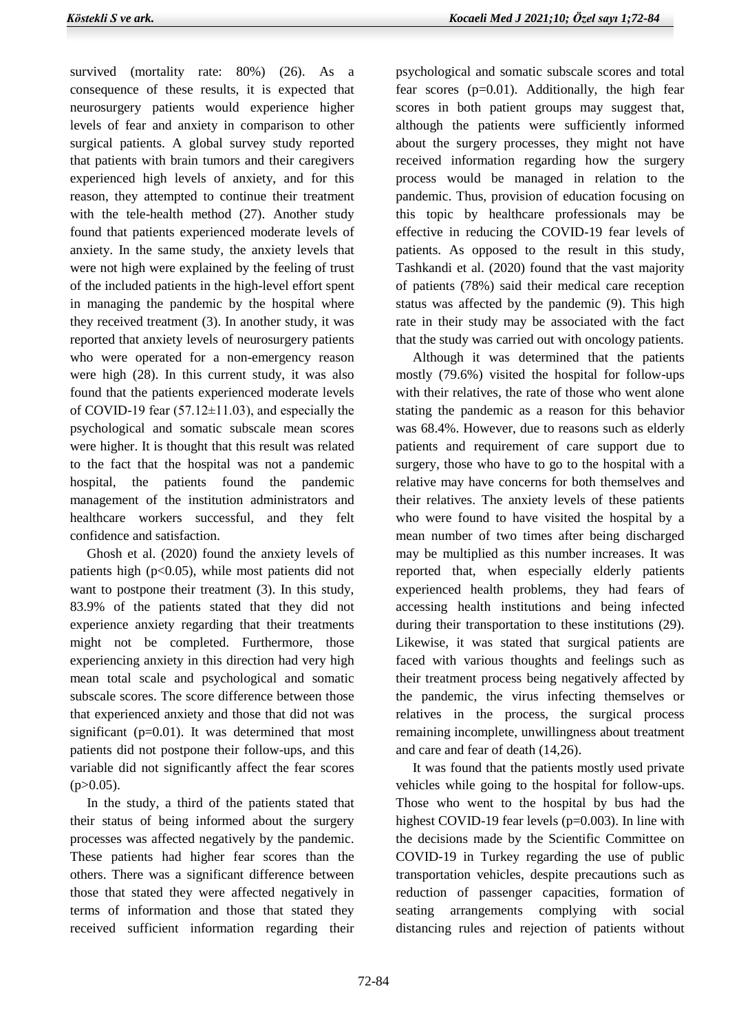survived (mortality rate: 80%) (26). As a consequence of these results, it is expected that neurosurgery patients would experience higher levels of fear and anxiety in comparison to other surgical patients. A global survey study reported that patients with brain tumors and their caregivers experienced high levels of anxiety, and for this reason, they attempted to continue their treatment with the tele-health method (27). Another study found that patients experienced moderate levels of anxiety. In the same study, the anxiety levels that were not high were explained by the feeling of trust of the included patients in the high-level effort spent in managing the pandemic by the hospital where they received treatment (3). In another study, it was reported that anxiety levels of neurosurgery patients who were operated for a non-emergency reason were high (28). In this current study, it was also found that the patients experienced moderate levels of COVID-19 fear  $(57.12 \pm 11.03)$ , and especially the psychological and somatic subscale mean scores were higher. It is thought that this result was related to the fact that the hospital was not a pandemic hospital, the patients found the pandemic management of the institution administrators and healthcare workers successful, and they felt confidence and satisfaction.

 Ghosh et al. (2020) found the anxiety levels of patients high  $(p<0.05)$ , while most patients did not want to postpone their treatment (3). In this study, 83.9% of the patients stated that they did not experience anxiety regarding that their treatments might not be completed. Furthermore, those experiencing anxiety in this direction had very high mean total scale and psychological and somatic subscale scores. The score difference between those that experienced anxiety and those that did not was significant (p=0.01). It was determined that most patients did not postpone their follow-ups, and this variable did not significantly affect the fear scores  $(p>0.05)$ .

 In the study, a third of the patients stated that their status of being informed about the surgery processes was affected negatively by the pandemic. These patients had higher fear scores than the others. There was a significant difference between those that stated they were affected negatively in terms of information and those that stated they received sufficient information regarding their

psychological and somatic subscale scores and total fear scores  $(p=0.01)$ . Additionally, the high fear scores in both patient groups may suggest that, although the patients were sufficiently informed about the surgery processes, they might not have received information regarding how the surgery process would be managed in relation to the pandemic. Thus, provision of education focusing on this topic by healthcare professionals may be effective in reducing the COVID-19 fear levels of patients. As opposed to the result in this study, Tashkandi et al. (2020) found that the vast majority of patients (78%) said their medical care reception status was affected by the pandemic (9). This high rate in their study may be associated with the fact that the study was carried out with oncology patients.

 Although it was determined that the patients mostly (79.6%) visited the hospital for follow-ups with their relatives, the rate of those who went alone stating the pandemic as a reason for this behavior was 68.4%. However, due to reasons such as elderly patients and requirement of care support due to surgery, those who have to go to the hospital with a relative may have concerns for both themselves and their relatives. The anxiety levels of these patients who were found to have visited the hospital by a mean number of two times after being discharged may be multiplied as this number increases. It was reported that, when especially elderly patients experienced health problems, they had fears of accessing health institutions and being infected during their transportation to these institutions (29). Likewise, it was stated that surgical patients are faced with various thoughts and feelings such as their treatment process being negatively affected by the pandemic, the virus infecting themselves or relatives in the process, the surgical process remaining incomplete, unwillingness about treatment and care and fear of death (14,26).

 It was found that the patients mostly used private vehicles while going to the hospital for follow-ups. Those who went to the hospital by bus had the highest COVID-19 fear levels (p=0.003). In line with the decisions made by the Scientific Committee on COVID-19 in Turkey regarding the use of public transportation vehicles, despite precautions such as reduction of passenger capacities, formation of seating arrangements complying with social distancing rules and rejection of patients without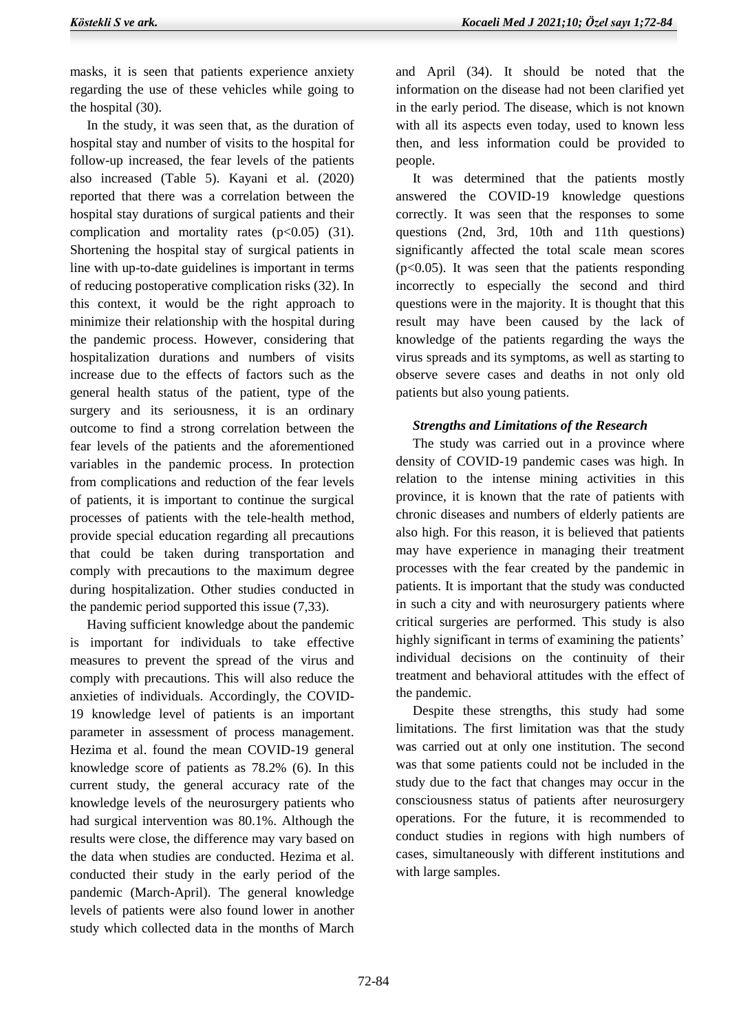masks, it is seen that patients experience anxiety regarding the use of these vehicles while going to the hospital (30).

 In the study, it was seen that, as the duration of hospital stay and number of visits to the hospital for follow-up increased, the fear levels of the patients also increased (Table 5). Kayani et al. (2020) reported that there was a correlation between the hospital stay durations of surgical patients and their complication and mortality rates  $(p<0.05)$  (31). Shortening the hospital stay of surgical patients in line with up-to-date guidelines is important in terms of reducing postoperative complication risks (32). In this context, it would be the right approach to minimize their relationship with the hospital during the pandemic process. However, considering that hospitalization durations and numbers of visits increase due to the effects of factors such as the general health status of the patient, type of the surgery and its seriousness, it is an ordinary outcome to find a strong correlation between the fear levels of the patients and the aforementioned variables in the pandemic process. In protection from complications and reduction of the fear levels of patients, it is important to continue the surgical processes of patients with the tele-health method, provide special education regarding all precautions that could be taken during transportation and comply with precautions to the maximum degree during hospitalization. Other studies conducted in the pandemic period supported this issue (7,33).

 Having sufficient knowledge about the pandemic is important for individuals to take effective measures to prevent the spread of the virus and comply with precautions. This will also reduce the anxieties of individuals. Accordingly, the COVID-19 knowledge level of patients is an important parameter in assessment of process management. Hezima et al. found the mean COVID-19 general knowledge score of patients as 78.2% (6). In this current study, the general accuracy rate of the knowledge levels of the neurosurgery patients who had surgical intervention was 80.1%. Although the results were close, the difference may vary based on the data when studies are conducted. Hezima et al. conducted their study in the early period of the pandemic (March-April). The general knowledge levels of patients were also found lower in another study which collected data in the months of March

and April (34). It should be noted that the information on the disease had not been clarified yet in the early period. The disease, which is not known with all its aspects even today, used to known less then, and less information could be provided to people.

 It was determined that the patients mostly answered the COVID-19 knowledge questions correctly. It was seen that the responses to some questions (2nd, 3rd, 10th and 11th questions) significantly affected the total scale mean scores  $(p<0.05)$ . It was seen that the patients responding incorrectly to especially the second and third questions were in the majority. It is thought that this result may have been caused by the lack of knowledge of the patients regarding the ways the virus spreads and its symptoms, as well as starting to observe severe cases and deaths in not only old patients but also young patients.

### *Strengths and Limitations of the Research*

 The study was carried out in a province where density of COVID-19 pandemic cases was high. In relation to the intense mining activities in this province, it is known that the rate of patients with chronic diseases and numbers of elderly patients are also high. For this reason, it is believed that patients may have experience in managing their treatment processes with the fear created by the pandemic in patients. It is important that the study was conducted in such a city and with neurosurgery patients where critical surgeries are performed. This study is also highly significant in terms of examining the patients' individual decisions on the continuity of their treatment and behavioral attitudes with the effect of the pandemic.

 Despite these strengths, this study had some limitations. The first limitation was that the study was carried out at only one institution. The second was that some patients could not be included in the study due to the fact that changes may occur in the consciousness status of patients after neurosurgery operations. For the future, it is recommended to conduct studies in regions with high numbers of cases, simultaneously with different institutions and with large samples.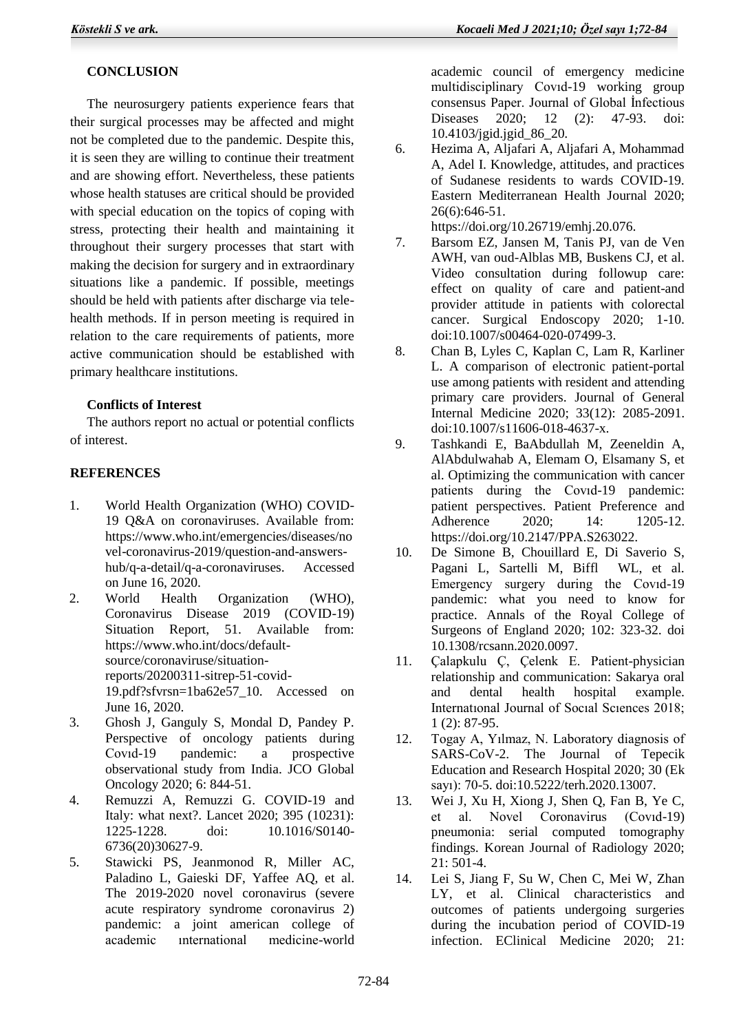# **CONCLUSION**

 The neurosurgery patients experience fears that their surgical processes may be affected and might not be completed due to the pandemic. Despite this, it is seen they are willing to continue their treatment and are showing effort. Nevertheless, these patients whose health statuses are critical should be provided with special education on the topics of coping with stress, protecting their health and maintaining it throughout their surgery processes that start with making the decision for surgery and in extraordinary situations like a pandemic. If possible, meetings should be held with patients after discharge via telehealth methods. If in person meeting is required in relation to the care requirements of patients, more active communication should be established with primary healthcare institutions.

### **Conflicts of Interest**

 The authors report no actual or potential conflicts of interest.

### **REFERENCES**

- 1. World Health Organization (WHO) COVID-19 Q&A on coronaviruses. Available from: https://www.who.int/emergencies/diseases/no vel-coronavirus-2019/question-and-answershub/q-a-detail/q-a-coronaviruses. Accessed on June 16, 2020.
- 2. World Health Organization (WHO), Coronavirus Disease 2019 (COVID-19) Situation Report, 51. Available from: https://www.who.int/docs/defaultsource/coronaviruse/situationreports/20200311-sitrep-51-covid-19.pdf?sfvrsn=1ba62e57\_10. Accessed on June 16, 2020.
- 3. Ghosh J, Ganguly S, Mondal D, Pandey P. Perspective of oncology patients during Covıd-19 pandemic: a prospective observational study from India. JCO Global Oncology 2020; 6: 844-51.
- 4. Remuzzi A, Remuzzi G. COVID-19 and Italy: what next?. Lancet 2020; 395 (10231): 1225-1228. doi: 10.1016/S0140- 6736(20)30627-9.
- 5. Stawicki PS, Jeanmonod R, Miller AC, Paladino L, Gaieski DF, Yaffee AQ, et al. The 2019-2020 novel coronavirus (severe acute respiratory syndrome coronavirus 2) pandemic: a joint american college of academic ınternational medicine-world

academic council of emergency medicine multidisciplinary Covıd-19 working group consensus Paper. Journal of Global Infectious<br>Diseases 2020: 12 (2): 47-93 doi: Diseases 2020; 12 (2): 47-93. doi: 10.4103/jgid.jgid\_86\_20.

6. Hezima A, Aljafari A, Aljafari A, Mohammad A, Adel I. Knowledge, attitudes, and practices of Sudanese residents to wards COVID-19. Eastern Mediterranean Health Journal 2020; 26(6):646-51.

https://doi.org/10.26719/emhj.20.076.

- 7. Barsom EZ, Jansen M, Tanis PJ, van de Ven AWH, van oud-Alblas MB, Buskens CJ, et al. Video consultation during followup care: effect on quality of care and patient-and provider attitude in patients with colorectal cancer. Surgical Endoscopy 2020; 1-10. doi:10.1007/s00464-020-07499-3.
- 8. Chan B, Lyles C, Kaplan C, Lam R, Karliner L. A comparison of electronic patient-portal use among patients with resident and attending primary care providers. Journal of General Internal Medicine 2020; 33(12): 2085-2091. doi:10.1007/s11606-018-4637-x.
- 9. Tashkandi E, BaAbdullah M, Zeeneldin A, AlAbdulwahab A, Elemam O, Elsamany S, et al. Optimizing the communication with cancer patients during the Covıd-19 pandemic: patient perspectives. Patient Preference and Adherence 2020; 14: 1205-12. https://doi.org/10.2147/PPA.S263022.
- 10. De Simone B, Chouillard E, Di Saverio S, Pagani L, Sartelli M, Biffl WL, et al. Emergency surgery during the Covıd-19 pandemic: what you need to know for practice. Annals of the Royal College of Surgeons of England 2020; 102: 323-32. doi 10.1308/rcsann.2020.0097.
- 11. Çalapkulu Ç, Çelenk E. Patient-physician relationship and communication: Sakarya oral and dental health hospital example. Internatıonal Journal of Socıal Scıences 2018; 1 (2): 87-95.
- 12. Togay A, Yılmaz, N. Laboratory diagnosis of SARS-CoV-2. The Journal of Tepecik Education and Research Hospital 2020; 30 (Ek sayı): 70-5. doi:10.5222/terh.2020.13007.
- 13. Wei J, Xu H, Xiong J, Shen Q, Fan B, Ye C, et al. Novel Coronavirus (Covıd-19) pneumonia: serial computed tomography findings. Korean Journal of Radiology 2020; 21: 501-4.
- 14. Lei S, Jiang F, Su W, Chen C, Mei W, Zhan LY, et al. Clinical characteristics and outcomes of patients undergoing surgeries during the incubation period of COVID-19 infection. EClinical Medicine 2020; 21: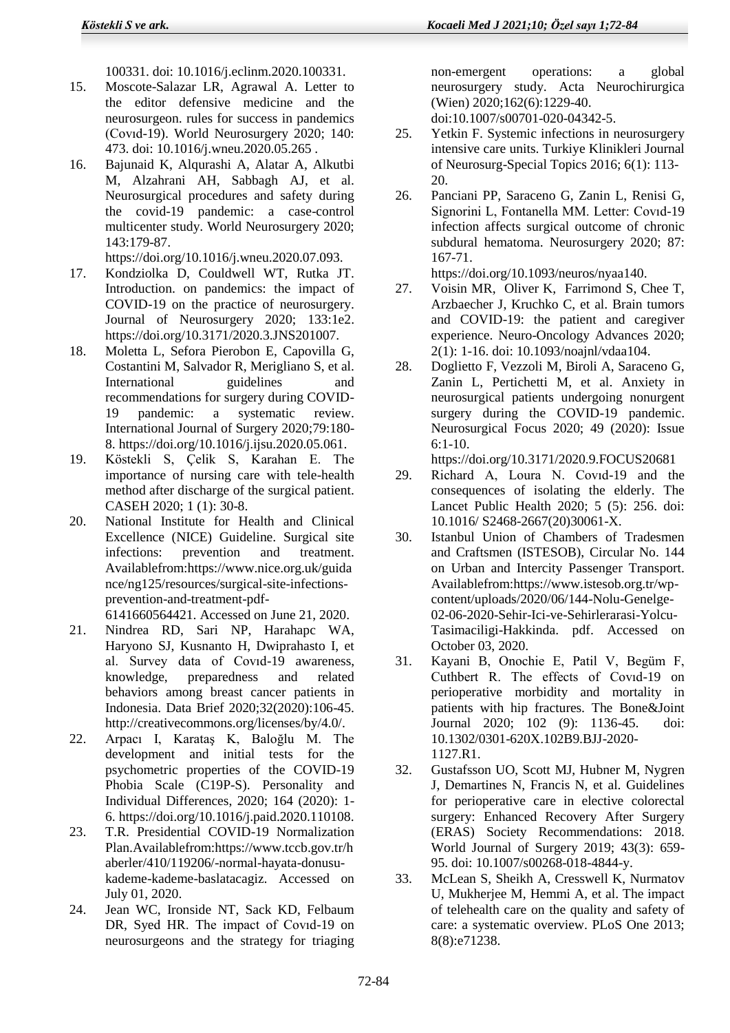100331. doi: 10.1016/j.eclinm.2020.100331.

- 15. Moscote-Salazar LR, Agrawal A. Letter to the editor defensive medicine and the neurosurgeon. rules for success in pandemics (Covıd-19). World Neurosurgery 2020; 140: 473. doi: 10.1016/j.wneu.2020.05.265 .
- 16. Bajunaid K, Alqurashi A, Alatar A, Alkutbi M, Alzahrani AH, Sabbagh AJ, et al. Neurosurgical procedures and safety during the covid-19 pandemic: a case-control multicenter study. World Neurosurgery 2020; 143:179-87.
	- https://doi.org/10.1016/j.wneu.2020.07.093.
- 17. Kondziolka D, Couldwell WT, Rutka JT. Introduction. on pandemics: the impact of COVID-19 on the practice of neurosurgery. Journal of Neurosurgery 2020; 133:1e2. https://doi.org/10.3171/2020.3.JNS201007.
- 18. Moletta L, Sefora Pierobon E, Capovilla G, Costantini M, Salvador R, Merigliano S, et al. International guidelines and recommendations for surgery during COVID-19 pandemic: a systematic review. International Journal of Surgery 2020;79:180- 8. https://doi.org/10.1016/j.ijsu.2020.05.061.
- 19. Köstekli S, Çelik S, Karahan E. The importance of nursing care with tele-health method after discharge of the surgical patient. CASEH 2020; 1 (1): 30-8.
- 20. National Institute for Health and Clinical Excellence (NICE) Guideline. Surgical site infections: prevention and treatment. Availablefrom:https://www.nice.org.uk/guida nce/ng125/resources/surgical-site-infectionsprevention-and-treatment-pdf-

6141660564421. Accessed on June 21, 2020.

- 21. Nindrea RD, Sari NP, Harahapc WA, Haryono SJ, Kusnanto H, Dwiprahasto I, et al. Survey data of Covıd-19 awareness, knowledge, preparedness and related behaviors among breast cancer patients in Indonesia. Data Brief 2020;32(2020):106-45. http://creativecommons.org/licenses/by/4.0/.
- 22. Arpacı I, Karataş K, Baloğlu M. The development and initial tests for the psychometric properties of the COVID-19 Phobia Scale (C19P-S). Personality and Individual Differences, 2020; 164 (2020): 1- 6. https://doi.org/10.1016/j.paid.2020.110108.
- 23. T.R. Presidential COVID-19 Normalization Plan.Availablefrom:https://www.tccb.gov.tr/h aberler/410/119206/-normal-hayata-donusukademe-kademe-baslatacagiz. Accessed on July 01, 2020.
- 24. Jean WC, Ironside NT, Sack KD, Felbaum DR, Syed HR. The impact of Covıd-19 on neurosurgeons and the strategy for triaging

non-emergent operations: a global neurosurgery study. Acta Neurochirurgica (Wien) 2020;162(6):1229-40. doi:10.1007/s00701-020-04342-5.

- 25. Yetkin F. Systemic infections in neurosurgery intensive care units. Turkiye Klinikleri Journal of Neurosurg-Special Topics 2016; 6(1): 113- 20.
- 26. Panciani PP, Saraceno G, Zanin L, Renisi G, Signorini L, Fontanella MM. Letter: Covıd-19 infection affects surgical outcome of chronic subdural hematoma. Neurosurgery 2020; 87: 167-71.

https://doi.org/10.1093/neuros/nyaa140.

- 27. Voisin MR, Oliver K, Farrimond S, Chee T, Arzbaecher J, Kruchko C, et al. Brain tumors and COVID-19: the patient and caregiver experience. Neuro-Oncology Advances 2020; 2(1): 1-16. doi: 10.1093/noajnl/vdaa104.
- 28. Doglietto F, Vezzoli M, Biroli A, Saraceno G, Zanin L, Pertichetti M, et al. Anxiety in neurosurgical patients undergoing nonurgent surgery during the COVID-19 pandemic. Neurosurgical Focus 2020; 49 (2020): Issue 6:1-10.

https://doi.org/10.3171/2020.9.FOCUS20681

- 29. Richard A, Loura N. Covıd-19 and the consequences of isolating the elderly. The Lancet Public Health 2020; 5 (5): 256. doi: 10.1016/ S2468-2667(20)30061-X.
- 30. Istanbul Union of Chambers of Tradesmen and Craftsmen (ISTESOB), Circular No. 144 on Urban and Intercity Passenger Transport. Availablefrom:https://www.istesob.org.tr/wpcontent/uploads/2020/06/144-Nolu-Genelge-02-06-2020-Sehir-Ici-ve-Sehirlerarasi-Yolcu-Tasimaciligi-Hakkinda. pdf. Accessed on October 03, 2020.
- 31. Kayani B, Onochie E, Patil V, Begüm F, Cuthbert R. The effects of Covıd-19 on perioperative morbidity and mortality in patients with hip fractures. The Bone&Joint Journal 2020; 102 (9): 1136-45. doi: 10.1302/0301-620X.102B9.BJJ-2020- 1127.R1.
- 32. Gustafsson UO, Scott MJ, Hubner M, Nygren J, Demartines N, Francis N, et al. Guidelines for perioperative care in elective colorectal surgery: Enhanced Recovery After Surgery (ERAS) Society Recommendations: 2018. World Journal of Surgery 2019; 43(3): 659- 95. doi: 10.1007/s00268-018-4844-y.
- 33. McLean S, Sheikh A, Cresswell K, Nurmatov U, Mukherjee M, Hemmi A, et al. The impact of telehealth care on the quality and safety of care: a systematic overview. PLoS One 2013; 8(8):e71238.